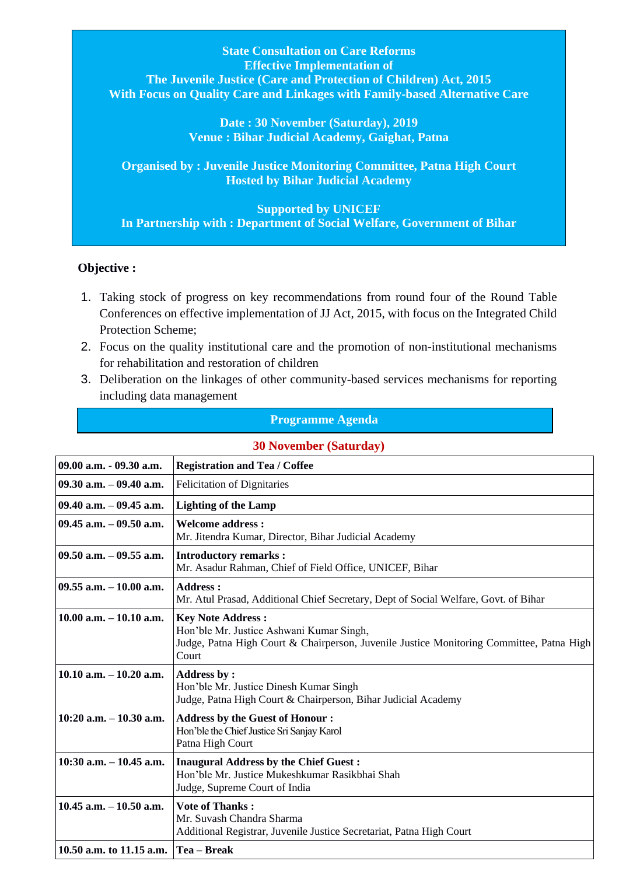**State Consultation on Care Reforms Effective Implementation of The Juvenile Justice (Care and Protection of Children) Act, 2015 With Focus on Quality Care and Linkages with Family-based Alternative Care**

> **Date : 30 November (Saturday), 2019 Venue : Bihar Judicial Academy, Gaighat, Patna**

**Organised by : Juvenile Justice Monitoring Committee, Patna High Court Hosted by Bihar Judicial Academy**

**Supported by UNICEF In Partnership with : Department of Social Welfare, Government of Bihar**

## **Objective :**

**10.50 a.m. to 11.15 a.m. Tea – Break**

- 1. Taking stock of progress on key recommendations from round four of the Round Table Conferences on effective implementation of JJ Act, 2015, with focus on the Integrated Child Protection Scheme;
- 2. Focus on the quality institutional care and the promotion of non-institutional mechanisms for rehabilitation and restoration of children
- 3. Deliberation on the linkages of other community-based services mechanisms for reporting including data management

## **Programme Agenda**

**30 November (Saturday)** 

## **09.00 a.m. - 09.30 a.m. Registration and Tea / Coffee 09.30 a.m. – 09.40 a.m.** Felicitation of Dignitaries **09.40 a.m. – 09.45 a.m. Lighting of the Lamp 09.45 a.m. – 09.50 a.m. Welcome address :** Mr. Jitendra Kumar, Director, Bihar Judicial Academy **09.50 a.m. – 09.55 a.m. Introductory remarks :** Mr. Asadur Rahman, Chief of Field Office, UNICEF, Bihar **09.55 a.m. – 10.00 a.m. Address :** Mr. Atul Prasad, Additional Chief Secretary, Dept of Social Welfare, Govt. of Bihar **10.00 a.m. – 10.10 a.m. Key Note Address :** Hon'ble Mr. Justice Ashwani Kumar Singh, Judge, Patna High Court & Chairperson, Juvenile Justice Monitoring Committee, Patna High Court **10.10 a.m. – 10.20 a.m. Address by :**  Hon'ble Mr. Justice Dinesh Kumar Singh Judge, Patna High Court & Chairperson, Bihar Judicial Academy **10:20 a.m. – 10.30 a.m. Address by the Guest of Honour :** Hon'ble the Chief Justice Sri Sanjay Karol Patna High Court **10:30 a.m. – 10.45 a.m. Inaugural Address by the Chief Guest :** Hon'ble Mr. Justice Mukeshkumar Rasikbhai Shah Judge, Supreme Court of India **10.45 a.m. – 10.50 a.m. Vote of Thanks :** Mr. Suvash Chandra Sharma Additional Registrar, Juvenile Justice Secretariat, Patna High Court